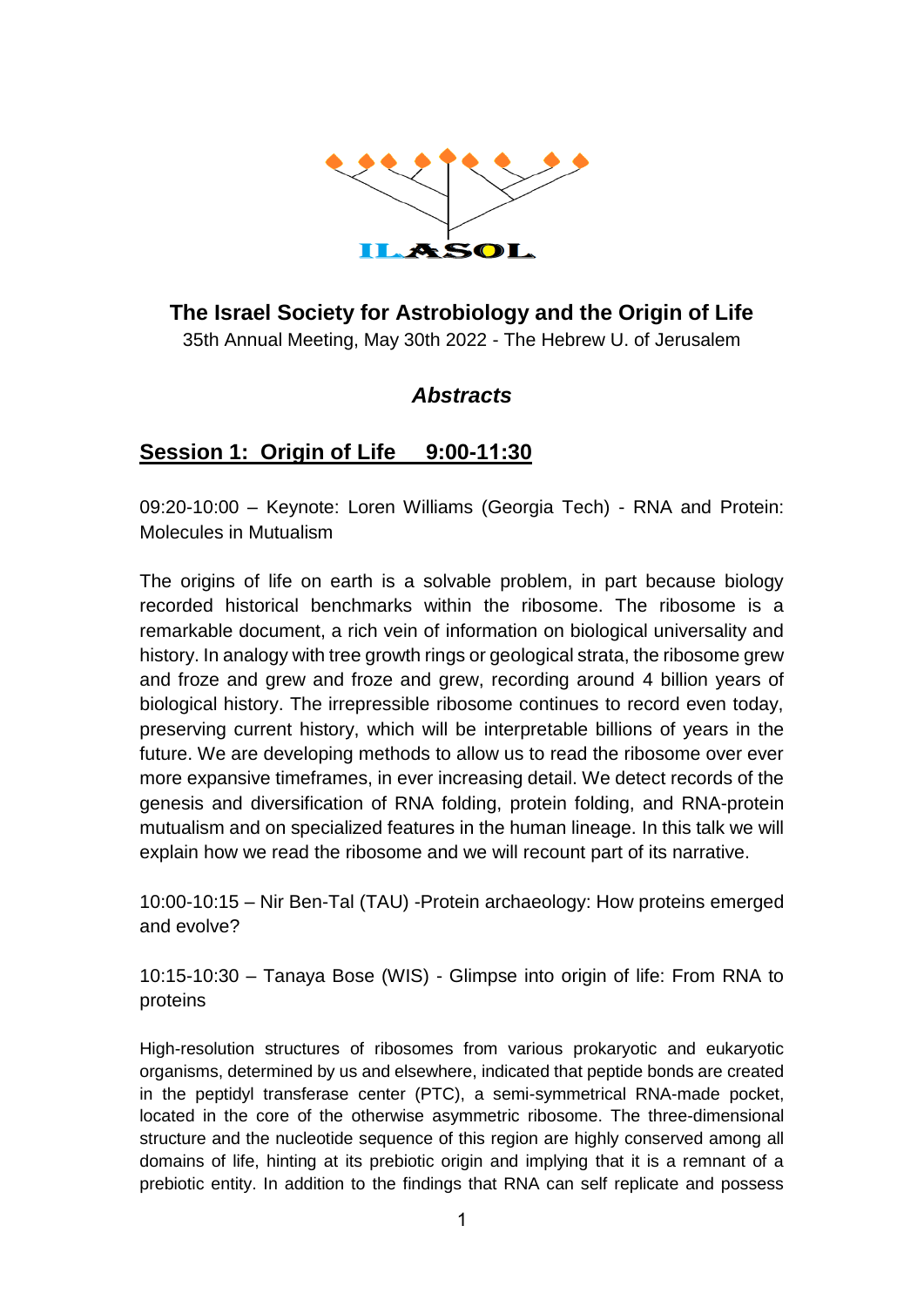

# **The Israel Society for Astrobiology and the Origin of Life**

35th Annual Meeting, May 30th 2022 - The Hebrew U. of Jerusalem

### *Abstracts*

### **Session 1: Origin of Life 9:00-11:30**

09:20-10:00 – Keynote: Loren Williams (Georgia Tech) - RNA and Protein: Molecules in Mutualism

The origins of life on earth is a solvable problem, in part because biology recorded historical benchmarks within the ribosome. The ribosome is a remarkable document, a rich vein of information on biological universality and history. In analogy with tree growth rings or geological strata, the ribosome grew and froze and grew and froze and grew, recording around 4 billion years of biological history. The irrepressible ribosome continues to record even today, preserving current history, which will be interpretable billions of years in the future. We are developing methods to allow us to read the ribosome over ever more expansive timeframes, in ever increasing detail. We detect records of the genesis and diversification of RNA folding, protein folding, and RNA-protein mutualism and on specialized features in the human lineage. In this talk we will explain how we read the ribosome and we will recount part of its narrative.

10:00-10:15 – Nir Ben-Tal (TAU) -Protein archaeology: How proteins emerged and evolve?

10:15-10:30 – Tanaya Bose (WIS) - Glimpse into origin of life: From RNA to proteins

High-resolution structures of ribosomes from various prokaryotic and eukaryotic organisms, determined by us and elsewhere, indicated that peptide bonds are created in the peptidyl transferase center (PTC), a semi-symmetrical RNA-made pocket, located in the core of the otherwise asymmetric ribosome. The three-dimensional structure and the nucleotide sequence of this region are highly conserved among all domains of life, hinting at its prebiotic origin and implying that it is a remnant of a prebiotic entity. In addition to the findings that RNA can self replicate and possess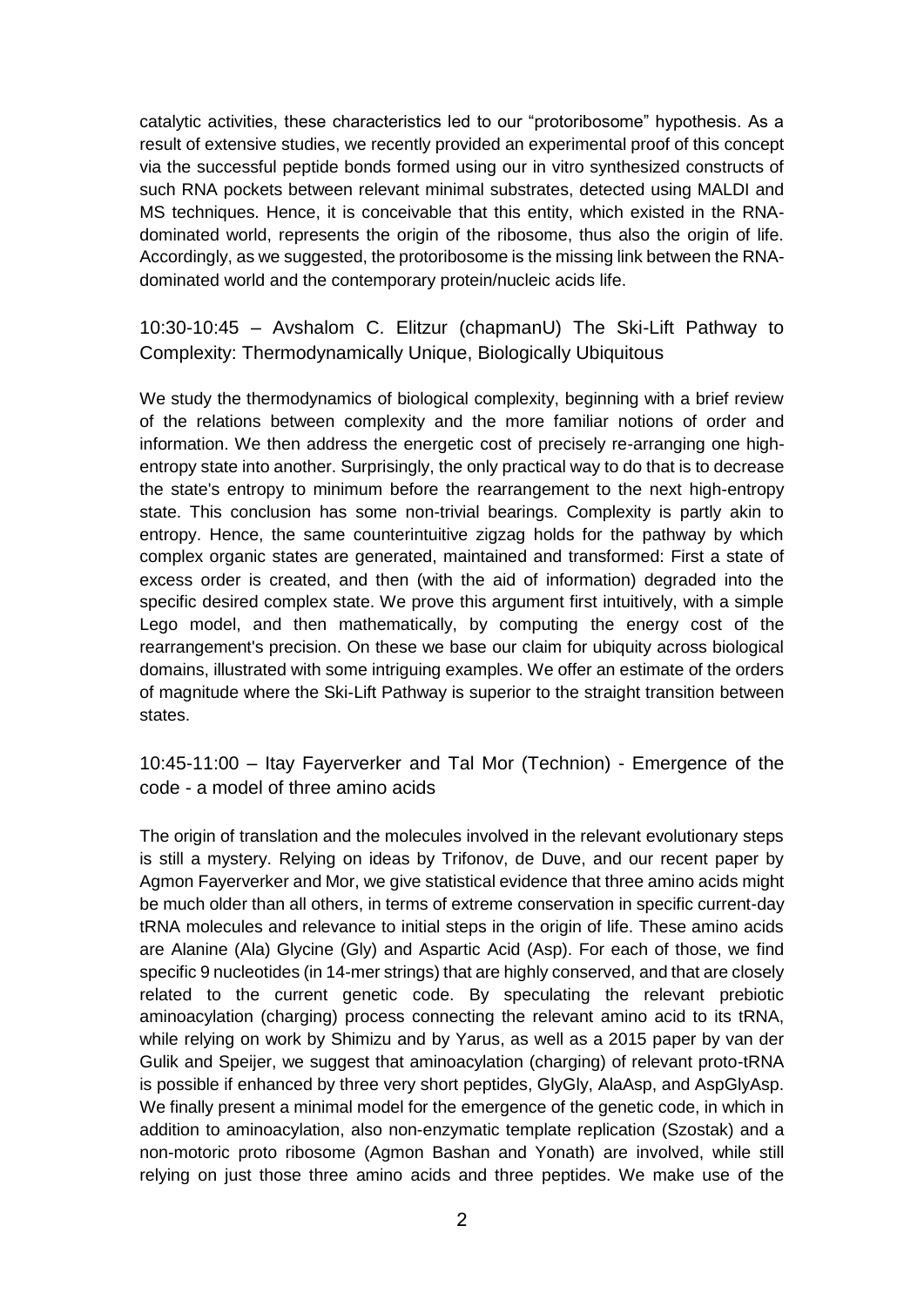catalytic activities, these characteristics led to our "protoribosome" hypothesis. As a result of extensive studies, we recently provided an experimental proof of this concept via the successful peptide bonds formed using our in vitro synthesized constructs of such RNA pockets between relevant minimal substrates, detected using MALDI and MS techniques. Hence, it is conceivable that this entity, which existed in the RNAdominated world, represents the origin of the ribosome, thus also the origin of life. Accordingly, as we suggested, the protoribosome is the missing link between the RNAdominated world and the contemporary protein/nucleic acids life.

10:30-10:45 – Avshalom C. Elitzur (chapmanU) The Ski-Lift Pathway to Complexity: Thermodynamically Unique, Biologically Ubiquitous

We study the thermodynamics of biological complexity, beginning with a brief review of the relations between complexity and the more familiar notions of order and information. We then address the energetic cost of precisely re-arranging one highentropy state into another. Surprisingly, the only practical way to do that is to decrease the state's entropy to minimum before the rearrangement to the next high-entropy state. This conclusion has some non-trivial bearings. Complexity is partly akin to entropy. Hence, the same counterintuitive zigzag holds for the pathway by which complex organic states are generated, maintained and transformed: First a state of excess order is created, and then (with the aid of information) degraded into the specific desired complex state. We prove this argument first intuitively, with a simple Lego model, and then mathematically, by computing the energy cost of the rearrangement's precision. On these we base our claim for ubiquity across biological domains, illustrated with some intriguing examples. We offer an estimate of the orders of magnitude where the Ski-Lift Pathway is superior to the straight transition between states.

10:45-11:00 – Itay Fayerverker and Tal Mor (Technion) - Emergence of the code - a model of three amino acids

The origin of translation and the molecules involved in the relevant evolutionary steps is still a mystery. Relying on ideas by Trifonov, de Duve, and our recent paper by Agmon Fayerverker and Mor, we give statistical evidence that three amino acids might be much older than all others, in terms of extreme conservation in specific current-day tRNA molecules and relevance to initial steps in the origin of life. These amino acids are Alanine (Ala) Glycine (Gly) and Aspartic Acid (Asp). For each of those, we find specific 9 nucleotides (in 14-mer strings) that are highly conserved, and that are closely related to the current genetic code. By speculating the relevant prebiotic aminoacylation (charging) process connecting the relevant amino acid to its tRNA, while relying on work by Shimizu and by Yarus, as well as a 2015 paper by van der Gulik and Speijer, we suggest that aminoacylation (charging) of relevant proto-tRNA is possible if enhanced by three very short peptides, GlyGly, AlaAsp, and AspGlyAsp. We finally present a minimal model for the emergence of the genetic code, in which in addition to aminoacylation, also non-enzymatic template replication (Szostak) and a non-motoric proto ribosome (Agmon Bashan and Yonath) are involved, while still relying on just those three amino acids and three peptides. We make use of the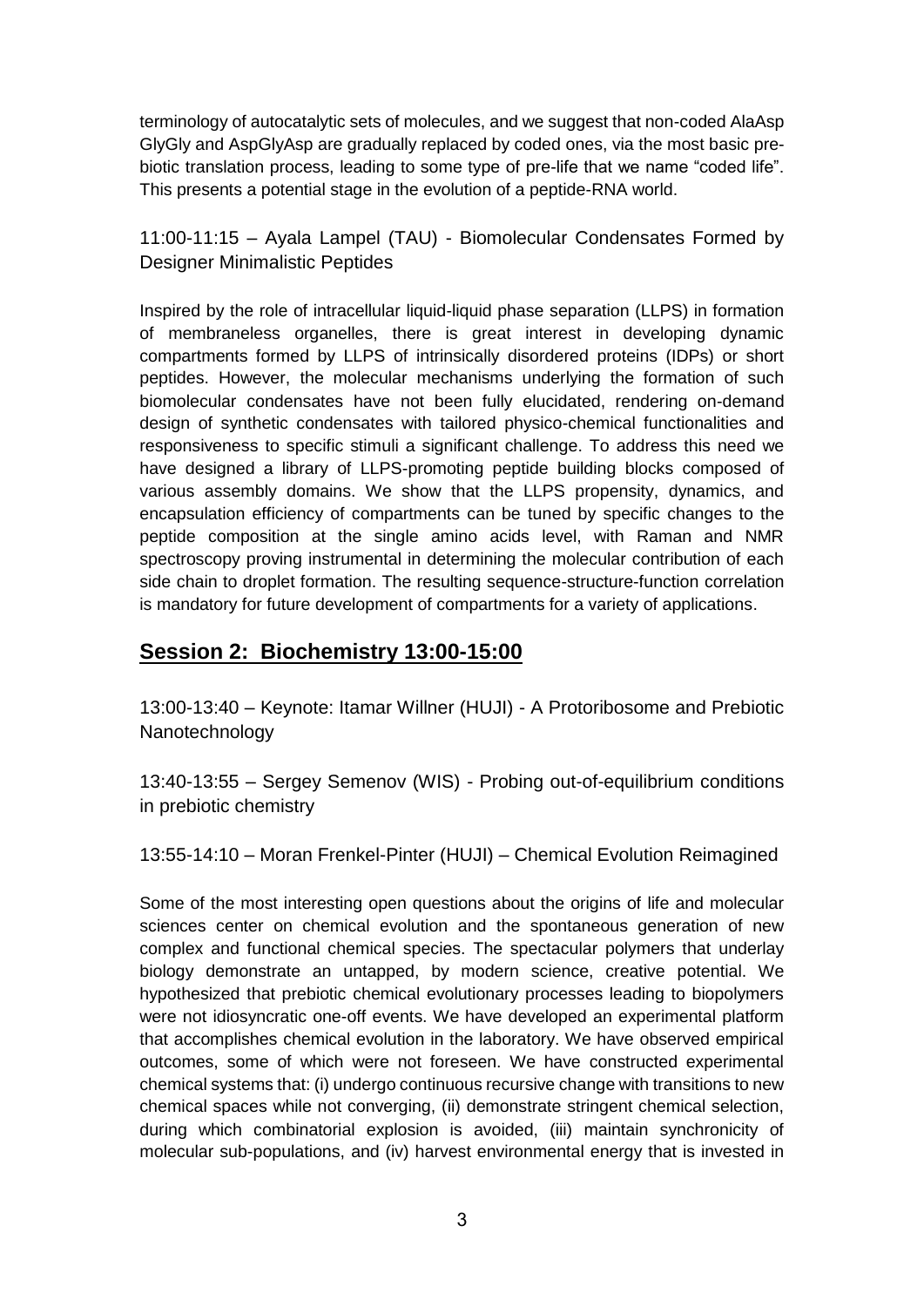terminology of autocatalytic sets of molecules, and we suggest that non-coded AlaAsp GlyGly and AspGlyAsp are gradually replaced by coded ones, via the most basic prebiotic translation process, leading to some type of pre-life that we name "coded life". This presents a potential stage in the evolution of a peptide-RNA world.

11:00-11:15 – Ayala Lampel (TAU) - Biomolecular Condensates Formed by Designer Minimalistic Peptides

Inspired by the role of intracellular liquid-liquid phase separation (LLPS) in formation of membraneless organelles, there is great interest in developing dynamic compartments formed by LLPS of intrinsically disordered proteins (IDPs) or short peptides. However, the molecular mechanisms underlying the formation of such biomolecular condensates have not been fully elucidated, rendering on-demand design of synthetic condensates with tailored physico-chemical functionalities and responsiveness to specific stimuli a significant challenge. To address this need we have designed a library of LLPS-promoting peptide building blocks composed of various assembly domains. We show that the LLPS propensity, dynamics, and encapsulation efficiency of compartments can be tuned by specific changes to the peptide composition at the single amino acids level, with Raman and NMR spectroscopy proving instrumental in determining the molecular contribution of each side chain to droplet formation. The resulting sequence-structure-function correlation is mandatory for future development of compartments for a variety of applications.

# **Session 2: Biochemistry 13:00-15:00**

13:00-13:40 – Keynote: Itamar Willner (HUJI) - A Protoribosome and Prebiotic Nanotechnology

13:40-13:55 – Sergey Semenov (WIS) - Probing out-of-equilibrium conditions in prebiotic chemistry

13:55-14:10 – Moran Frenkel-Pinter (HUJI) – Chemical Evolution Reimagined

Some of the most interesting open questions about the origins of life and molecular sciences center on chemical evolution and the spontaneous generation of new complex and functional chemical species. The spectacular polymers that underlay biology demonstrate an untapped, by modern science, creative potential. We hypothesized that prebiotic chemical evolutionary processes leading to biopolymers were not idiosyncratic one-off events. We have developed an experimental platform that accomplishes chemical evolution in the laboratory. We have observed empirical outcomes, some of which were not foreseen. We have constructed experimental chemical systems that: (i) undergo continuous recursive change with transitions to new chemical spaces while not converging, (ii) demonstrate stringent chemical selection, during which combinatorial explosion is avoided, (iii) maintain synchronicity of molecular sub-populations, and (iv) harvest environmental energy that is invested in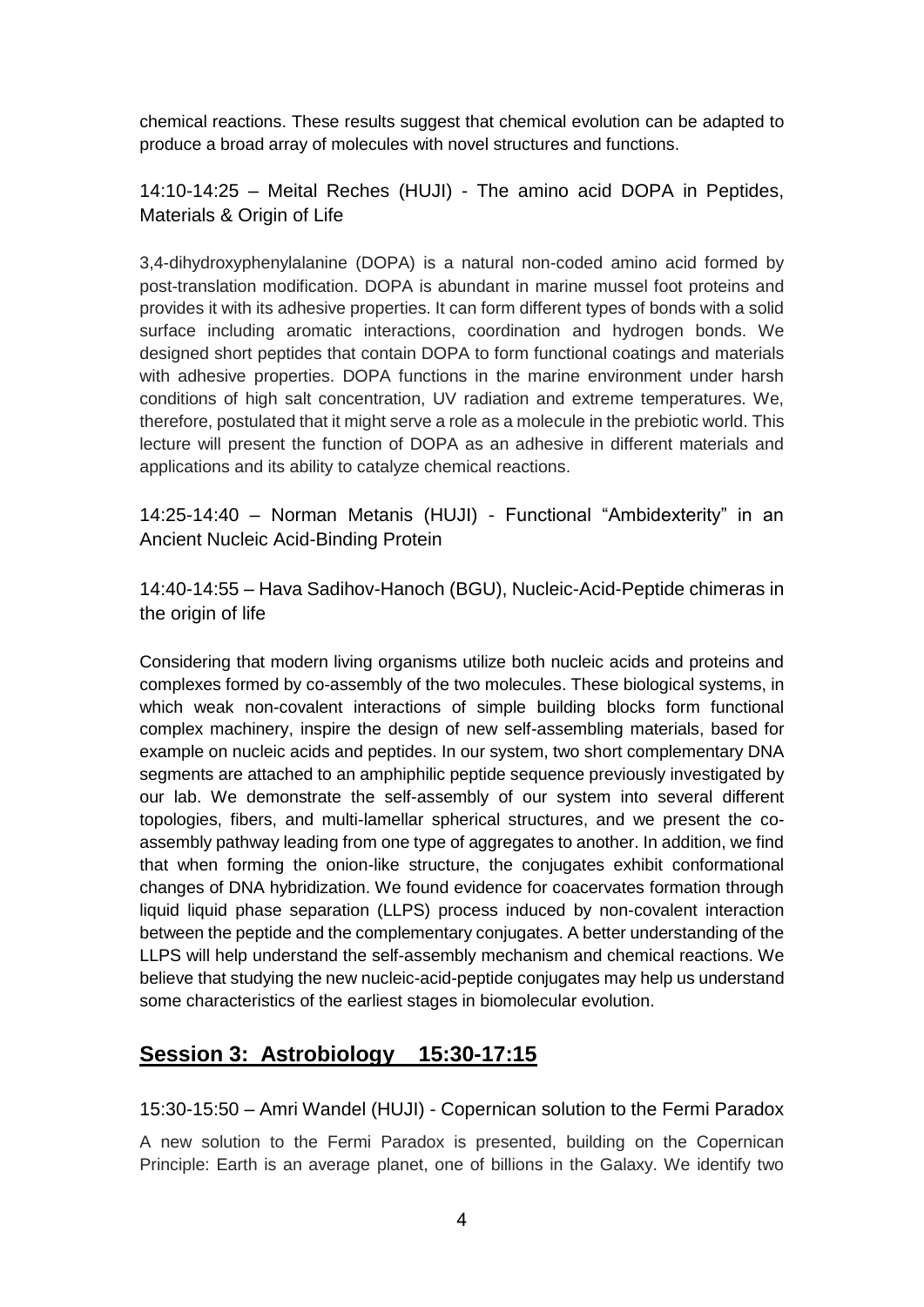chemical reactions. These results suggest that chemical evolution can be adapted to produce a broad array of molecules with novel structures and functions.

14:10-14:25 – Meital Reches (HUJI) - The amino acid DOPA in Peptides, Materials & Origin of Life

3,4-dihydroxyphenylalanine (DOPA) is a natural non-coded amino acid formed by post-translation modification. DOPA is abundant in marine mussel foot proteins and provides it with its adhesive properties. It can form different types of bonds with a solid surface including aromatic interactions, coordination and hydrogen bonds. We designed short peptides that contain DOPA to form functional coatings and materials with adhesive properties. DOPA functions in the marine environment under harsh conditions of high salt concentration, UV radiation and extreme temperatures. We, therefore, postulated that it might serve a role as a molecule in the prebiotic world. This lecture will present the function of DOPA as an adhesive in different materials and applications and its ability to catalyze chemical reactions.

14:25-14:40 – Norman Metanis (HUJI) - Functional "Ambidexterity" in an Ancient Nucleic Acid-Binding Protein

14:40-14:55 – Hava Sadihov-Hanoch (BGU), Nucleic-Acid-Peptide chimeras in the origin of life

Considering that modern living organisms utilize both nucleic acids and proteins and complexes formed by co-assembly of the two molecules. These biological systems, in which weak non-covalent interactions of simple building blocks form functional complex machinery, inspire the design of new self-assembling materials, based for example on nucleic acids and peptides. In our system, two short complementary DNA segments are attached to an amphiphilic peptide sequence previously investigated by our lab. We demonstrate the self-assembly of our system into several different topologies, fibers, and multi-lamellar spherical structures, and we present the coassembly pathway leading from one type of aggregates to another. In addition, we find that when forming the onion-like structure, the conjugates exhibit conformational changes of DNA hybridization. We found evidence for coacervates formation through liquid liquid phase separation (LLPS) process induced by non-covalent interaction between the peptide and the complementary conjugates. A better understanding of the LLPS will help understand the self-assembly mechanism and chemical reactions. We believe that studying the new nucleic-acid-peptide conjugates may help us understand some characteristics of the earliest stages in biomolecular evolution.

## **Session 3: Astrobiology 15:30-17:15**

15:30-15:50 – Amri Wandel (HUJI) - Copernican solution to the Fermi Paradox

A new solution to the Fermi Paradox is presented, building on the Copernican Principle: Earth is an average planet, one of billions in the Galaxy. We identify two